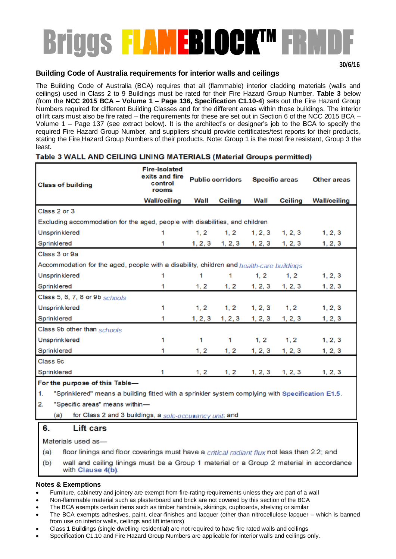# Briggs <mark>FLAMEBLOCKTM FRMDF</mark>

### **Building Code of Australia requirements for interior walls and ceilings**

The Building Code of Australia (BCA) requires that all (flammable) interior cladding materials (walls and ceilings) used in Class 2 to 9 Buildings must be rated for their Fire Hazard Group Number. **Table 3** below (from the **NCC 2015 BCA – Volume 1 – Page 136, Specification C1.10-4**) sets out the Fire Hazard Group Numbers required for different Building Classes and for the different areas within those buildings. The interior of lift cars must also be fire rated – the requirements for these are set out in Section 6 of the NCC 2015 BCA – Volume 1 – Page 137 (see extract below). It is the architect's or designer's job to the BCA to specify the required Fire Hazard Group Number, and suppliers should provide certificates/test reports for their products, stating the Fire Hazard Group Numbers of their products. Note: Group 1 is the most fire resistant, Group 3 the least.

### Table 3 WALL AND CEILING LINING MATERIALS (Material Groups permitted)

| <b>Class of building</b>                                                                 | <b>Fire-isolated</b><br>exits and fire<br>control<br>rooms | <b>Public corridors</b> |                | <b>Specific areas</b> |                     | <b>Other areas</b>  |
|------------------------------------------------------------------------------------------|------------------------------------------------------------|-------------------------|----------------|-----------------------|---------------------|---------------------|
|                                                                                          | <b>Wall/ceiling</b>                                        | Wall                    | <b>Ceiling</b> | Wall                  | <b>Ceiling</b>      | <b>Wall/ceiling</b> |
| Class 2 or 3                                                                             |                                                            |                         |                |                       |                     |                     |
| Excluding accommodation for the aged, people with disabilities, and children             |                                                            |                         |                |                       |                     |                     |
| Unsprinklered                                                                            |                                                            | 1, 2                    | 1, 2           |                       | $1, 2, 3$ $1, 2, 3$ | 1, 2, 3             |
| Sprinklered                                                                              | 1                                                          | 1, 2, 3                 | 1, 2, 3        | 1, 2, 3               | 1, 2, 3             | 1, 2, 3             |
| Class 3 or 9a                                                                            |                                                            |                         |                |                       |                     |                     |
| Accommodation for the aged, people with a disability, children and health-care buildings |                                                            |                         |                |                       |                     |                     |
| Unsprinklered                                                                            | 1                                                          | 1                       | 1              | 1, 2                  | 1, 2                | 1, 2, 3             |
| Sprinklered                                                                              | 1                                                          | 1, 2                    | 1, 2           | 1, 2, 3               | 1, 2, 3             | 1, 2, 3             |
| Class 5, 6, 7, 8 or 9b schools                                                           |                                                            |                         |                |                       |                     |                     |
| Unsprinklered                                                                            | 1                                                          | 1, 2                    | 1, 2           | 1, 2, 3               | 1, 2                | 1, 2, 3             |
| Sprinklered                                                                              | 1                                                          | 1, 2, 3                 | 1, 2, 3        | 1, 2, 3               | 1, 2, 3             | 1, 2, 3             |
| Class 9b other than schools                                                              |                                                            |                         |                |                       |                     |                     |
| Unsprinklered                                                                            | 1                                                          | 1                       | 1              | 1, 2                  | 1, 2                | 1, 2, 3             |
| Sprinklered                                                                              |                                                            | 1, 2                    | 1, 2           | 1, 2, 3               | 1, 2, 3             | 1, 2, 3             |
| Class 9c                                                                                 |                                                            |                         |                |                       |                     |                     |
| Sprinklered                                                                              | 1                                                          | 1, 2                    | 1, 2           | 1, 2, 3               | 1, 2, 3             | 1, 2, 3             |
| For the purpose of this Table-                                                           |                                                            |                         |                |                       |                     |                     |

"Sprinklered" means a building fitted with a sprinkler system complying with Specification E1.5. 1.

 $\overline{2}$ . "Specific areas" means within-

> for Class 2 and 3 buildings, a sole-occurancy unit, and  $(a)$

#### **Lift cars** 6.

Materials used as-

floor linings and floor coverings must have a critical radiant flux not less than 2.2; and  $(a)$ 

 $(b)$ wall and ceiling linings must be a Group 1 material or a Group 2 material in accordance with Clause 4(b).

### **Notes & Exemptions**

- Furniture, cabinetry and joinery are exempt from fire-rating requirements unless they are part of a wall
- Non-flammable material such as plasterboard and brick are not covered by this section of the BCA
- The BCA exempts certain items such as timber handrails, skirtings, cupboards, shelving or similar
- The BCA exempts adhesives, paint, clear-finishes and lacquer (other than nitrocellulose lacquer which is banned from use on interior walls, ceilings and lift interiors)
- Class 1 Buildings (single dwelling residential) are not required to have fire rated walls and ceilings
- Specification C1.10 and Fire Hazard Group Numbers are applicable for interior walls and ceilings only.